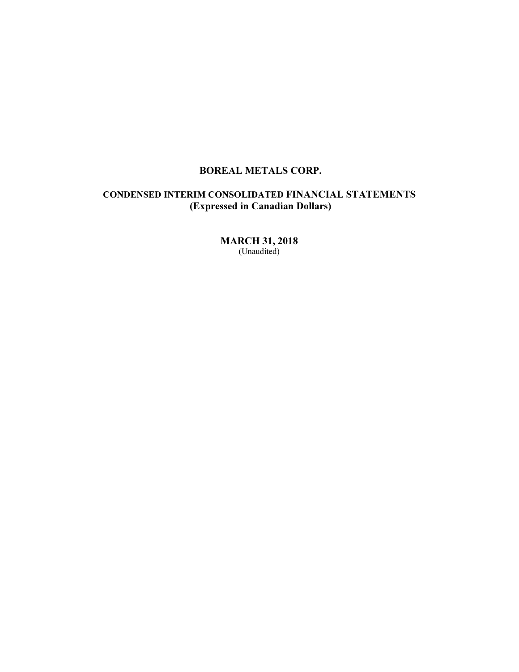# CONDENSED INTERIM CONSOLIDATED FINANCIAL STATEMENTS (Expressed in Canadian Dollars)

MARCH 31, 2018 (Unaudited)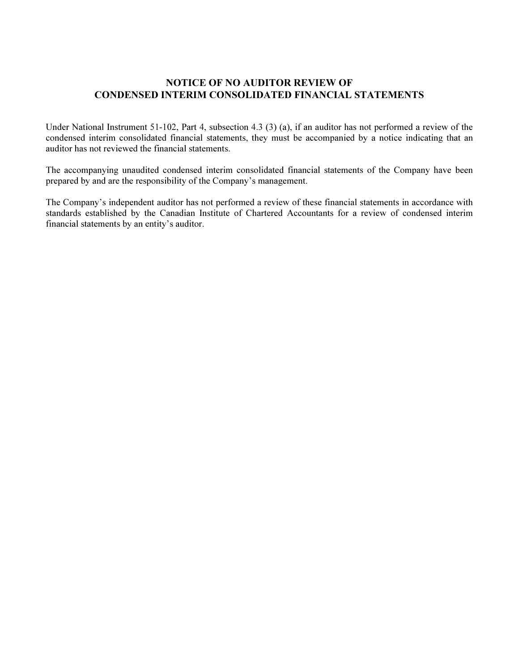## NOTICE OF NO AUDITOR REVIEW OF CONDENSED INTERIM CONSOLIDATED FINANCIAL STATEMENTS

Under National Instrument 51-102, Part 4, subsection 4.3 (3) (a), if an auditor has not performed a review of the condensed interim consolidated financial statements, they must be accompanied by a notice indicating that an auditor has not reviewed the financial statements.

The accompanying unaudited condensed interim consolidated financial statements of the Company have been prepared by and are the responsibility of the Company's management.

The Company's independent auditor has not performed a review of these financial statements in accordance with standards established by the Canadian Institute of Chartered Accountants for a review of condensed interim financial statements by an entity's auditor.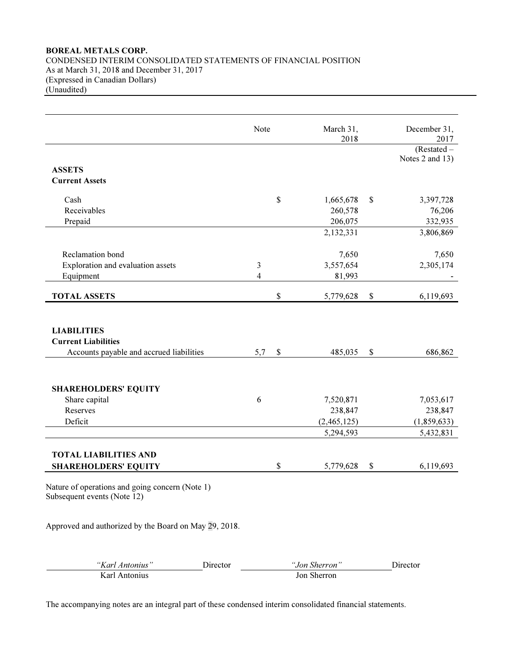## BOREAL METALS CORP. CONDENSED INTERIM CONSOLIDATED STATEMENTS OF FINANCIAL POSITION As at March 31, 2018 and December 31, 2017 (Expressed in Canadian Dollars) (Unaudited)

|                                                                                              | Note           | March 31,<br>2018 | December 31,<br>2017 |
|----------------------------------------------------------------------------------------------|----------------|-------------------|----------------------|
|                                                                                              |                |                   | (Restated –          |
|                                                                                              |                |                   | Notes 2 and 13)      |
| <b>ASSETS</b>                                                                                |                |                   |                      |
| <b>Current Assets</b>                                                                        |                |                   |                      |
|                                                                                              |                |                   |                      |
| Cash                                                                                         |                | \$<br>1,665,678   | \$<br>3,397,728      |
| Receivables                                                                                  |                | 260,578           | 76,206               |
| Prepaid                                                                                      |                | 206,075           | 332,935              |
|                                                                                              |                | 2,132,331         | 3,806,869            |
| Reclamation bond                                                                             |                | 7,650             | 7,650                |
| Exploration and evaluation assets                                                            | 3              | 3,557,654         | 2,305,174            |
| Equipment                                                                                    | $\overline{4}$ | 81,993            |                      |
|                                                                                              |                |                   |                      |
| <b>TOTAL ASSETS</b>                                                                          |                | \$<br>5,779,628   | \$<br>6,119,693      |
| <b>LIABILITIES</b><br><b>Current Liabilities</b><br>Accounts payable and accrued liabilities | 5,7            | \$<br>485,035     | \$<br>686,862        |
| <b>SHAREHOLDERS' EQUITY</b>                                                                  |                |                   |                      |
| Share capital                                                                                | 6              | 7,520,871         | 7,053,617            |
| Reserves                                                                                     |                | 238,847           | 238,847              |
| Deficit                                                                                      |                | (2,465,125)       | (1,859,633)          |
|                                                                                              |                | 5,294,593         | 5,432,831            |
| <b>TOTAL LIABILITIES AND</b><br><b>SHAREHOLDERS' EQUITY</b>                                  |                | \$<br>5,779,628   | \$<br>6,119,693      |
| Nature of operations and going concern (Note 1)<br>Subsequent events (Note 12)               |                |                   |                      |
| Approved and authorized by the Board on May 29, 2018.                                        |                |                   |                      |
| "Karl Antonius"                                                                              | Director       | "Jon Sherron"     | Director             |
| Karl Antonius                                                                                |                | Jon Sherron       |                      |

The accompanying notes are an integral part of these condensed interim consolidated financial statements.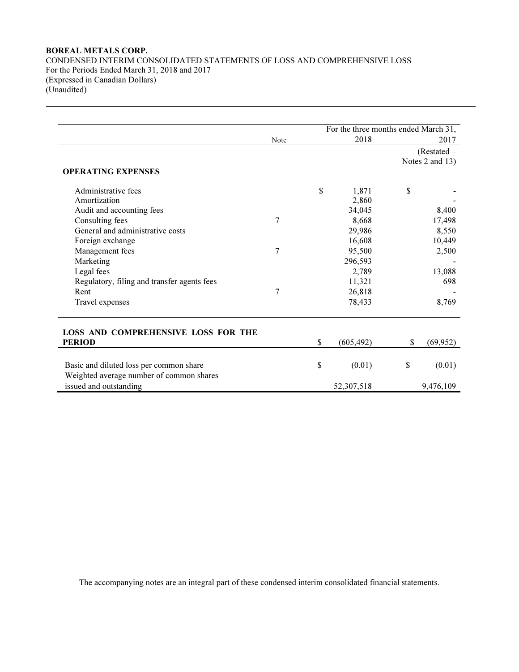CONDENSED INTERIM CONSOLIDATED STATEMENTS OF LOSS AND COMPREHENSIVE LOSS For the Periods Ended March 31, 2018 and 2017 (Expressed in Canadian Dollars) (Unaudited)

|                                                                                     |                | For the three months ended March 31, |                 |
|-------------------------------------------------------------------------------------|----------------|--------------------------------------|-----------------|
|                                                                                     | Note           | 2018                                 | 2017            |
|                                                                                     |                |                                      | (Restated –     |
|                                                                                     |                |                                      | Notes 2 and 13) |
| <b>OPERATING EXPENSES</b>                                                           |                |                                      |                 |
| Administrative fees                                                                 |                | \$<br>1,871                          | \$              |
| Amortization                                                                        |                | 2,860                                |                 |
| Audit and accounting fees                                                           |                | 34,045                               | 8,400           |
| Consulting fees                                                                     | $\overline{7}$ | 8,668                                | 17,498          |
| General and administrative costs                                                    |                | 29,986                               | 8,550           |
| Foreign exchange                                                                    |                | 16,608                               | 10,449          |
| Management fees                                                                     | 7              | 95,500                               | 2,500           |
| Marketing                                                                           |                | 296,593                              |                 |
| Legal fees                                                                          |                | 2,789                                | 13,088          |
| Regulatory, filing and transfer agents fees                                         |                | 11,321                               | 698             |
| Rent                                                                                | 7              | 26,818                               |                 |
| Travel expenses                                                                     |                | 78,433                               | 8,769           |
| <b>LOSS AND COMPREHENSIVE LOSS FOR THE</b>                                          |                |                                      |                 |
| <b>PERIOD</b>                                                                       |                | \$<br>(605, 492)                     | \$<br>(69, 952) |
| Basic and diluted loss per common share<br>Weighted average number of common shares |                | \$<br>(0.01)                         | \$<br>(0.01)    |
| issued and outstanding                                                              |                | 52,307,518                           | 9,476,109       |

The accompanying notes are an integral part of these condensed interim consolidated financial statements.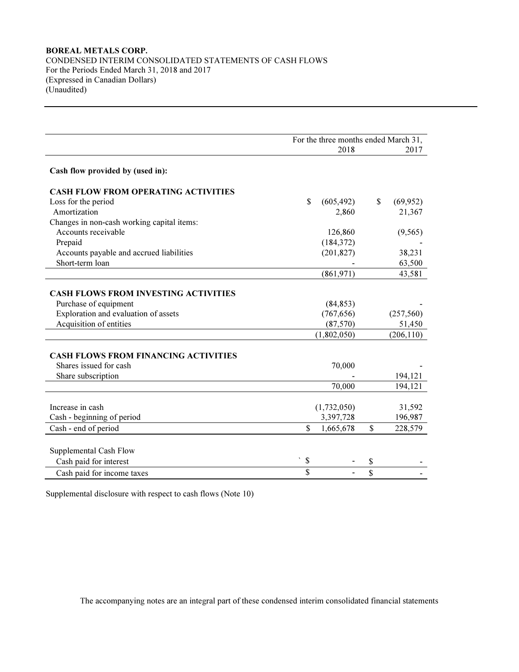## BOREAL METALS CORP. CONDENSED INTERIM CONSOLIDATED STATEMENTS OF CASH FLOWS For the Periods Ended March 31, 2018 and 2017 (Expressed in Canadian Dollars) (Unaudited)

|                                             | For the three months ended March 31, |             |    |            |  |
|---------------------------------------------|--------------------------------------|-------------|----|------------|--|
|                                             |                                      | 2018        |    | 2017       |  |
| Cash flow provided by (used in):            |                                      |             |    |            |  |
| <b>CASH FLOW FROM OPERATING ACTIVITIES</b>  |                                      |             |    |            |  |
| Loss for the period                         | \$                                   | (605, 492)  | \$ | (69, 952)  |  |
| Amortization                                |                                      | 2,860       |    | 21,367     |  |
| Changes in non-cash working capital items:  |                                      |             |    |            |  |
| Accounts receivable                         |                                      | 126,860     |    | (9, 565)   |  |
| Prepaid                                     |                                      | (184, 372)  |    |            |  |
| Accounts payable and accrued liabilities    |                                      | (201, 827)  |    | 38,231     |  |
| Short-term loan                             |                                      |             |    | 63,500     |  |
|                                             |                                      | (861,971)   |    | 43,581     |  |
| <b>CASH FLOWS FROM INVESTING ACTIVITIES</b> |                                      |             |    |            |  |
| Purchase of equipment                       |                                      | (84, 853)   |    |            |  |
| Exploration and evaluation of assets        |                                      | (767, 656)  |    | (257, 560) |  |
| Acquisition of entities                     |                                      | (87,570)    |    | 51,450     |  |
|                                             |                                      | (1,802,050) |    | (206, 110) |  |
| <b>CASH FLOWS FROM FINANCING ACTIVITIES</b> |                                      |             |    |            |  |
| Shares issued for cash                      |                                      | 70,000      |    |            |  |
| Share subscription                          |                                      |             |    | 194,121    |  |
|                                             |                                      | 70,000      |    | 194,121    |  |
| Increase in cash                            |                                      |             |    |            |  |
|                                             |                                      | (1,732,050) |    | 31,592     |  |
| Cash - beginning of period                  |                                      | 3,397,728   |    | 196,987    |  |
| Cash - end of period                        | $\mathbf{\hat{s}}$                   | 1,665,678   | \$ | 228,579    |  |
| Supplemental Cash Flow                      |                                      |             |    |            |  |
| Cash paid for interest                      | $\blacktriangledown$<br>\$           |             | \$ |            |  |
| Cash paid for income taxes                  | \$                                   |             | \$ |            |  |

Supplemental disclosure with respect to cash flows (Note 10)

The accompanying notes are an integral part of these condensed interim consolidated financial statements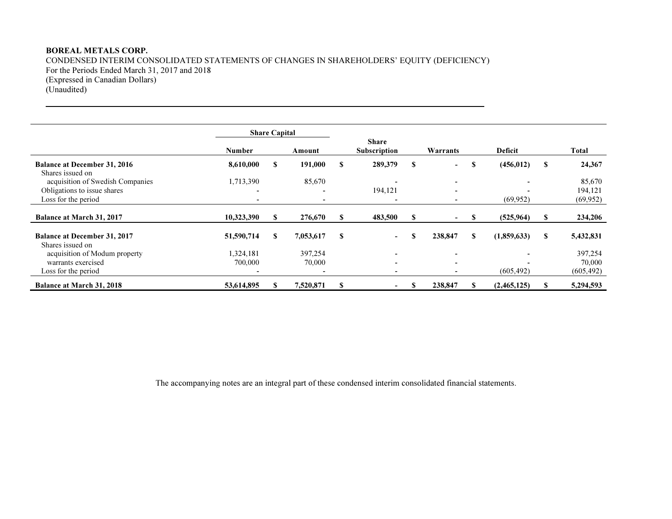CONDENSED INTERIM CONSOLIDATED STATEMENTS OF CHANGES IN SHAREHOLDERS' EQUITY (DEFICIENCY) For the Periods Ended March 31, 2017 and 2018 (Expressed in Canadian Dollars) (Unaudited)

|                                                         |                          | <b>Share Capital</b> |                   |   |                                     |          |                          |          |                |   |                   |
|---------------------------------------------------------|--------------------------|----------------------|-------------------|---|-------------------------------------|----------|--------------------------|----------|----------------|---|-------------------|
|                                                         | <b>Number</b>            |                      | Amount            |   | <b>Share</b><br><b>Subscription</b> |          | Warrants                 |          | Deficit        |   | Total             |
| <b>Balance at December 31, 2016</b><br>Shares issued on | 8,610,000                | S                    | 191,000           | S | 289,379                             | S        | $\overline{\phantom{a}}$ | \$.      | (456, 012)     | S | 24,367            |
| acquisition of Swedish Companies                        | 1,713,390                |                      | 85,670            |   |                                     |          | $\overline{\phantom{0}}$ |          | $\blacksquare$ |   | 85,670            |
| Obligations to issue shares                             | $\overline{\phantom{0}}$ |                      |                   |   | 194,121                             |          |                          |          |                |   | 194,121           |
| Loss for the period                                     |                          |                      |                   |   |                                     |          |                          |          | (69, 952)      |   | (69, 952)         |
| <b>Balance at March 31, 2017</b>                        | 10,323,390               |                      | 276,670           | S | 483,500                             | <b>S</b> | $\,$                     |          | (525, 964)     |   | 234,206           |
| <b>Balance at December 31, 2017</b><br>Shares issued on | 51,590,714               | S                    | 7,053,617         | S | $\sim$                              | S        | 238,847                  | <b>S</b> | (1,859,633)    | S | 5,432,831         |
| acquisition of Modum property<br>warrants exercised     | 1,324,181<br>700,000     |                      | 397,254<br>70,000 |   | $\sim$<br>$\overline{\phantom{0}}$  |          | $\overline{\phantom{a}}$ |          |                |   | 397,254<br>70,000 |
| Loss for the period                                     |                          |                      |                   |   |                                     |          |                          |          | (605, 492)     |   | (605, 492)        |
| Balance at March 31, 2018                               | 53,614,895               |                      | 7,520,871         | S | $\sim$                              |          | 238,847                  |          | (2,465,125)    |   | 5,294,593         |

The accompanying notes are an integral part of these condensed interim consolidated financial statements.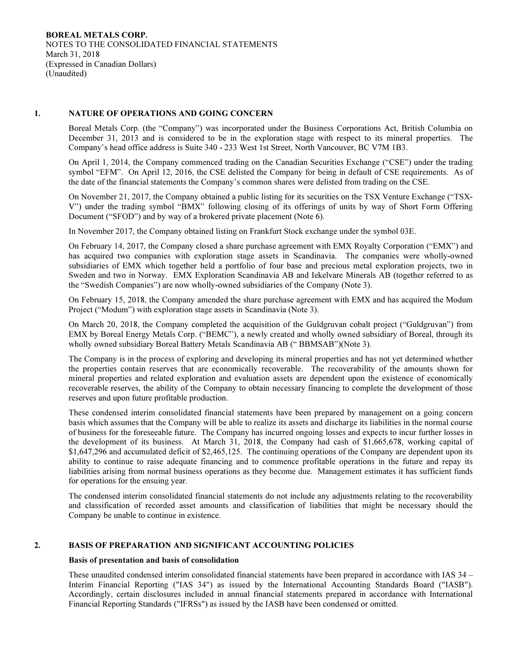## 1. NATURE OF OPERATIONS AND GOING CONCERN

Boreal Metals Corp. (the "Company") was incorporated under the Business Corporations Act, British Columbia on December 31, 2013 and is considered to be in the exploration stage with respect to its mineral properties. The Company's head office address is Suite 340 - 233 West 1st Street, North Vancouver, BC V7M 1B3.

On April 1, 2014, the Company commenced trading on the Canadian Securities Exchange ("CSE") under the trading symbol "EFM". On April 12, 2016, the CSE delisted the Company for being in default of CSE requirements. As of the date of the financial statements the Company's common shares were delisted from trading on the CSE.

On November 21, 2017, the Company obtained a public listing for its securities on the TSX Venture Exchange ("TSX-V") under the trading symbol "BMX" following closing of its offerings of units by way of Short Form Offering Document ("SFOD") and by way of a brokered private placement (Note 6).

In November 2017, the Company obtained listing on Frankfurt Stock exchange under the symbol 03E.

On February 14, 2017, the Company closed a share purchase agreement with EMX Royalty Corporation ("EMX") and has acquired two companies with exploration stage assets in Scandinavia. The companies were wholly-owned subsidiaries of EMX which together held a portfolio of four base and precious metal exploration projects, two in Sweden and two in Norway. EMX Exploration Scandinavia AB and Iekelvare Minerals AB (together referred to as the "Swedish Companies") are now wholly-owned subsidiaries of the Company (Note 3).

On February 15, 2018, the Company amended the share purchase agreement with EMX and has acquired the Modum Project ("Modum") with exploration stage assets in Scandinavia (Note 3).

On March 20, 2018, the Company completed the acquisition of the Guldgruvan cobalt project ("Guldgruvan") from EMX by Boreal Energy Metals Corp. ("BEMC"), a newly created and wholly owned subsidiary of Boreal, through its wholly owned subsidiary Boreal Battery Metals Scandinavia AB (" BBMSAB")(Note 3).

The Company is in the process of exploring and developing its mineral properties and has not yet determined whether the properties contain reserves that are economically recoverable. The recoverability of the amounts shown for mineral properties and related exploration and evaluation assets are dependent upon the existence of economically recoverable reserves, the ability of the Company to obtain necessary financing to complete the development of those reserves and upon future profitable production.

These condensed interim consolidated financial statements have been prepared by management on a going concern basis which assumes that the Company will be able to realize its assets and discharge its liabilities in the normal course of business for the foreseeable future. The Company has incurred ongoing losses and expects to incur further losses in the development of its business. At March 31, 2018, the Company had cash of \$1,665,678, working capital of \$1,647,296 and accumulated deficit of \$2,465,125. The continuing operations of the Company are dependent upon its ability to continue to raise adequate financing and to commence profitable operations in the future and repay its liabilities arising from normal business operations as they become due. Management estimates it has sufficient funds for operations for the ensuing year.

The condensed interim consolidated financial statements do not include any adjustments relating to the recoverability and classification of recorded asset amounts and classification of liabilities that might be necessary should the Company be unable to continue in existence.

## 2. BASIS OF PREPARATION AND SIGNIFICANT ACCOUNTING POLICIES

## Basis of presentation and basis of consolidation

These unaudited condensed interim consolidated financial statements have been prepared in accordance with IAS 34 – Interim Financial Reporting ("IAS 34") as issued by the International Accounting Standards Board ("IASB"). Accordingly, certain disclosures included in annual financial statements prepared in accordance with International Financial Reporting Standards ("IFRSs") as issued by the IASB have been condensed or omitted.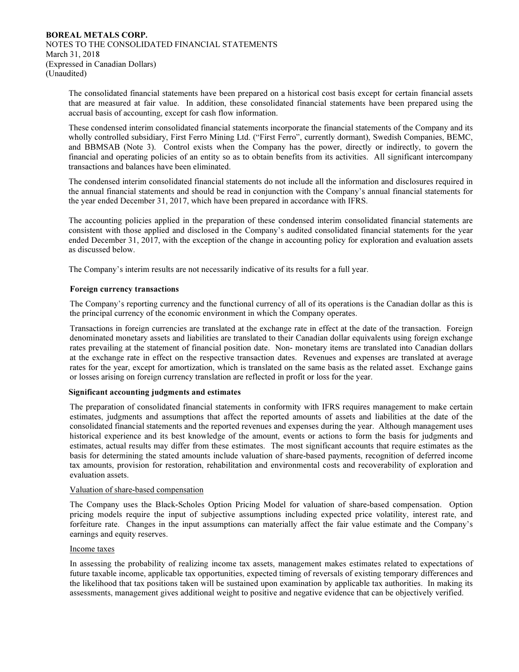The consolidated financial statements have been prepared on a historical cost basis except for certain financial assets that are measured at fair value. In addition, these consolidated financial statements have been prepared using the accrual basis of accounting, except for cash flow information.

These condensed interim consolidated financial statements incorporate the financial statements of the Company and its wholly controlled subsidiary, First Ferro Mining Ltd. ("First Ferro", currently dormant), Swedish Companies, BEMC, and BBMSAB (Note 3). Control exists when the Company has the power, directly or indirectly, to govern the financial and operating policies of an entity so as to obtain benefits from its activities. All significant intercompany transactions and balances have been eliminated.

The condensed interim consolidated financial statements do not include all the information and disclosures required in the annual financial statements and should be read in conjunction with the Company's annual financial statements for the year ended December 31, 2017, which have been prepared in accordance with IFRS.

The accounting policies applied in the preparation of these condensed interim consolidated financial statements are consistent with those applied and disclosed in the Company's audited consolidated financial statements for the year ended December 31, 2017, with the exception of the change in accounting policy for exploration and evaluation assets as discussed below.

The Company's interim results are not necessarily indicative of its results for a full year.

## Foreign currency transactions

The Company's reporting currency and the functional currency of all of its operations is the Canadian dollar as this is the principal currency of the economic environment in which the Company operates.

Transactions in foreign currencies are translated at the exchange rate in effect at the date of the transaction. Foreign denominated monetary assets and liabilities are translated to their Canadian dollar equivalents using foreign exchange rates prevailing at the statement of financial position date. Non- monetary items are translated into Canadian dollars at the exchange rate in effect on the respective transaction dates. Revenues and expenses are translated at average rates for the year, except for amortization, which is translated on the same basis as the related asset. Exchange gains or losses arising on foreign currency translation are reflected in profit or loss for the year.

#### Significant accounting judgments and estimates

The preparation of consolidated financial statements in conformity with IFRS requires management to make certain estimates, judgments and assumptions that affect the reported amounts of assets and liabilities at the date of the consolidated financial statements and the reported revenues and expenses during the year. Although management uses historical experience and its best knowledge of the amount, events or actions to form the basis for judgments and estimates, actual results may differ from these estimates. The most significant accounts that require estimates as the basis for determining the stated amounts include valuation of share-based payments, recognition of deferred income tax amounts, provision for restoration, rehabilitation and environmental costs and recoverability of exploration and evaluation assets.

## Valuation of share-based compensation

The Company uses the Black-Scholes Option Pricing Model for valuation of share-based compensation. Option pricing models require the input of subjective assumptions including expected price volatility, interest rate, and forfeiture rate. Changes in the input assumptions can materially affect the fair value estimate and the Company's earnings and equity reserves.

#### Income taxes

In assessing the probability of realizing income tax assets, management makes estimates related to expectations of future taxable income, applicable tax opportunities, expected timing of reversals of existing temporary differences and the likelihood that tax positions taken will be sustained upon examination by applicable tax authorities. In making its assessments, management gives additional weight to positive and negative evidence that can be objectively verified.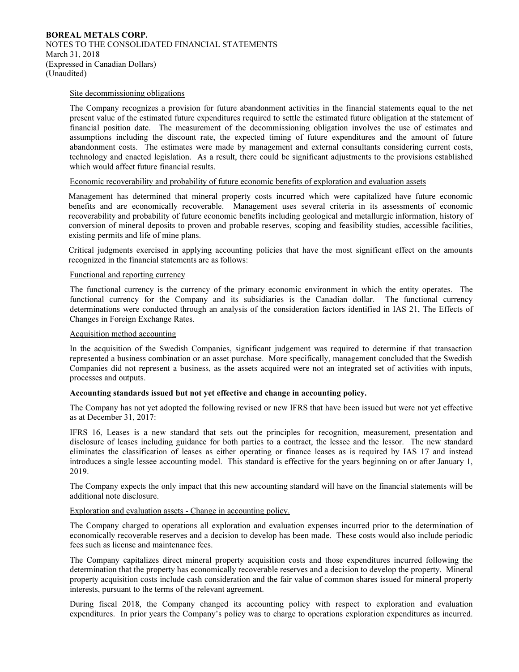#### Site decommissioning obligations

The Company recognizes a provision for future abandonment activities in the financial statements equal to the net present value of the estimated future expenditures required to settle the estimated future obligation at the statement of financial position date. The measurement of the decommissioning obligation involves the use of estimates and assumptions including the discount rate, the expected timing of future expenditures and the amount of future abandonment costs. The estimates were made by management and external consultants considering current costs, technology and enacted legislation. As a result, there could be significant adjustments to the provisions established which would affect future financial results.

#### Economic recoverability and probability of future economic benefits of exploration and evaluation assets

Management has determined that mineral property costs incurred which were capitalized have future economic benefits and are economically recoverable. Management uses several criteria in its assessments of economic recoverability and probability of future economic benefits including geological and metallurgic information, history of conversion of mineral deposits to proven and probable reserves, scoping and feasibility studies, accessible facilities, existing permits and life of mine plans.

Critical judgments exercised in applying accounting policies that have the most significant effect on the amounts recognized in the financial statements are as follows:

#### Functional and reporting currency

The functional currency is the currency of the primary economic environment in which the entity operates. The functional currency for the Company and its subsidiaries is the Canadian dollar. The functional currency determinations were conducted through an analysis of the consideration factors identified in IAS 21, The Effects of Changes in Foreign Exchange Rates.

#### Acquisition method accounting

In the acquisition of the Swedish Companies, significant judgement was required to determine if that transaction represented a business combination or an asset purchase. More specifically, management concluded that the Swedish Companies did not represent a business, as the assets acquired were not an integrated set of activities with inputs, processes and outputs.

#### Accounting standards issued but not yet effective and change in accounting policy.

The Company has not yet adopted the following revised or new IFRS that have been issued but were not yet effective as at December 31, 2017:

IFRS 16, Leases is a new standard that sets out the principles for recognition, measurement, presentation and disclosure of leases including guidance for both parties to a contract, the lessee and the lessor. The new standard eliminates the classification of leases as either operating or finance leases as is required by IAS 17 and instead introduces a single lessee accounting model. This standard is effective for the years beginning on or after January 1, 2019.

The Company expects the only impact that this new accounting standard will have on the financial statements will be additional note disclosure.

#### Exploration and evaluation assets - Change in accounting policy.

The Company charged to operations all exploration and evaluation expenses incurred prior to the determination of economically recoverable reserves and a decision to develop has been made. These costs would also include periodic fees such as license and maintenance fees.

The Company capitalizes direct mineral property acquisition costs and those expenditures incurred following the determination that the property has economically recoverable reserves and a decision to develop the property. Mineral property acquisition costs include cash consideration and the fair value of common shares issued for mineral property interests, pursuant to the terms of the relevant agreement.

During fiscal 2018, the Company changed its accounting policy with respect to exploration and evaluation expenditures. In prior years the Company's policy was to charge to operations exploration expenditures as incurred.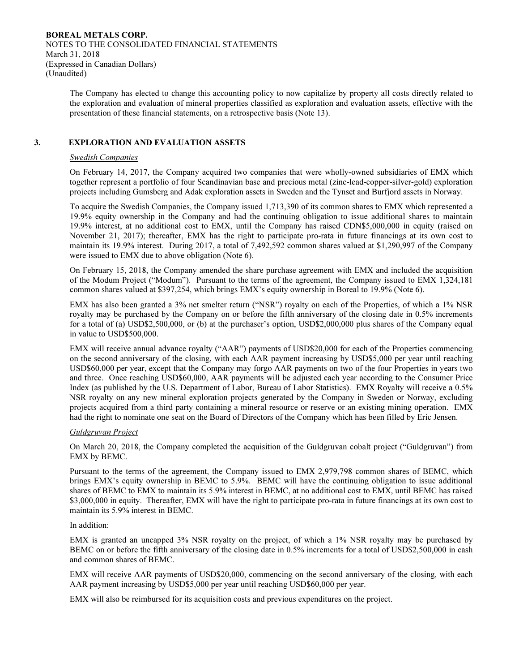> The Company has elected to change this accounting policy to now capitalize by property all costs directly related to the exploration and evaluation of mineral properties classified as exploration and evaluation assets, effective with the presentation of these financial statements, on a retrospective basis (Note 13).

## 3. EXPLORATION AND EVALUATION ASSETS

#### Swedish Companies

On February 14, 2017, the Company acquired two companies that were wholly-owned subsidiaries of EMX which together represent a portfolio of four Scandinavian base and precious metal (zinc-lead-copper-silver-gold) exploration projects including Gumsberg and Adak exploration assets in Sweden and the Tynset and Burfjord assets in Norway.

To acquire the Swedish Companies, the Company issued 1,713,390 of its common shares to EMX which represented a 19.9% equity ownership in the Company and had the continuing obligation to issue additional shares to maintain 19.9% interest, at no additional cost to EMX, until the Company has raised CDN\$5,000,000 in equity (raised on November 21, 2017); thereafter, EMX has the right to participate pro-rata in future financings at its own cost to maintain its 19.9% interest. During 2017, a total of 7,492,592 common shares valued at \$1,290,997 of the Company were issued to EMX due to above obligation (Note 6).

On February 15, 2018, the Company amended the share purchase agreement with EMX and included the acquisition of the Modum Project ("Modum"). Pursuant to the terms of the agreement, the Company issued to EMX 1,324,181 common shares valued at \$397,254, which brings EMX's equity ownership in Boreal to 19.9% (Note 6).

EMX has also been granted a 3% net smelter return ("NSR") royalty on each of the Properties, of which a 1% NSR royalty may be purchased by the Company on or before the fifth anniversary of the closing date in 0.5% increments for a total of (a) USD\$2,500,000, or (b) at the purchaser's option, USD\$2,000,000 plus shares of the Company equal in value to USD\$500,000.

EMX will receive annual advance royalty ("AAR") payments of USD\$20,000 for each of the Properties commencing on the second anniversary of the closing, with each AAR payment increasing by USD\$5,000 per year until reaching USD\$60,000 per year, except that the Company may forgo AAR payments on two of the four Properties in years two and three. Once reaching USD\$60,000, AAR payments will be adjusted each year according to the Consumer Price Index (as published by the U.S. Department of Labor, Bureau of Labor Statistics). EMX Royalty will receive a 0.5% NSR royalty on any new mineral exploration projects generated by the Company in Sweden or Norway, excluding projects acquired from a third party containing a mineral resource or reserve or an existing mining operation. EMX had the right to nominate one seat on the Board of Directors of the Company which has been filled by Eric Jensen.

#### Guldgruvan Project

On March 20, 2018, the Company completed the acquisition of the Guldgruvan cobalt project ("Guldgruvan") from EMX by BEMC.

Pursuant to the terms of the agreement, the Company issued to EMX 2,979,798 common shares of BEMC, which brings EMX's equity ownership in BEMC to 5.9%. BEMC will have the continuing obligation to issue additional shares of BEMC to EMX to maintain its 5.9% interest in BEMC, at no additional cost to EMX, until BEMC has raised \$3,000,000 in equity. Thereafter, EMX will have the right to participate pro-rata in future financings at its own cost to maintain its 5.9% interest in BEMC.

## In addition:

EMX is granted an uncapped 3% NSR royalty on the project, of which a 1% NSR royalty may be purchased by BEMC on or before the fifth anniversary of the closing date in 0.5% increments for a total of USD\$2,500,000 in cash and common shares of BEMC.

EMX will receive AAR payments of USD\$20,000, commencing on the second anniversary of the closing, with each AAR payment increasing by USD\$5,000 per year until reaching USD\$60,000 per year.

EMX will also be reimbursed for its acquisition costs and previous expenditures on the project.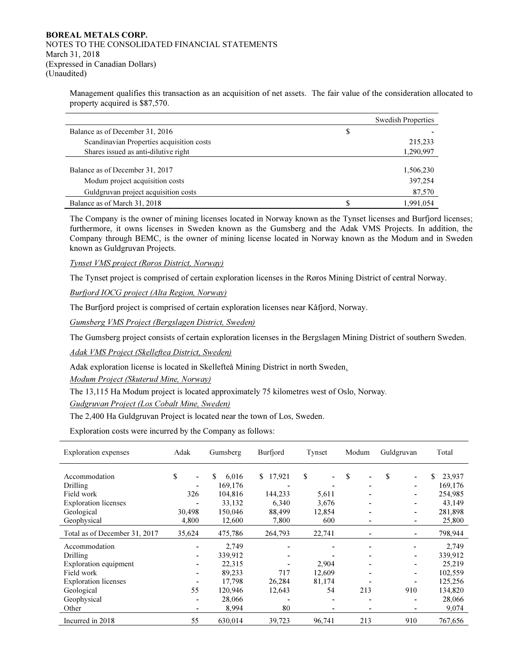Management qualifies this transaction as an acquisition of net assets. The fair value of the consideration allocated to property acquired is \$87,570.

|                                           | <b>Swedish Properties</b> |
|-------------------------------------------|---------------------------|
| Balance as of December 31, 2016           | \$                        |
| Scandinavian Properties acquisition costs | 215,233                   |
| Shares issued as anti-dilutive right      | 1,290,997                 |
|                                           |                           |
| Balance as of December 31, 2017           | 1,506,230                 |
| Modum project acquisition costs           | 397,254                   |
| Guldgruvan project acquisition costs      | 87,570                    |
| Balance as of March 31, 2018              | 1.991.054                 |

The Company is the owner of mining licenses located in Norway known as the Tynset licenses and Burfjord licenses; furthermore, it owns licenses in Sweden known as the Gumsberg and the Adak VMS Projects. In addition, the Company through BEMC, is the owner of mining license located in Norway known as the Modum and in Sweden known as Guldgruvan Projects.

Tynset VMS project (Røros District, Norway)

The Tynset project is comprised of certain exploration licenses in the Røros Mining District of central Norway.

Burfjord IOCG project (Alta Region, Norway)

The Burfjord project is comprised of certain exploration licenses near Kåfjord, Norway.

Gumsberg VMS Project (Bergslagen District, Sweden)

The Gumsberg project consists of certain exploration licenses in the Bergslagen Mining District of southern Sweden.

Adak VMS Project (Skelleftea District, Sweden)

Adak exploration license is located in Skellefteå Mining District in north Sweden.

Modum Project (Skuterud Mine, Norway)

The 13,115 Ha Modum project is located approximately 75 kilometres west of Oslo, Norway.

Gudgruvan Project (Los Cobalt Mine, Sweden)

The 2,400 Ha Guldgruvan Project is located near the town of Los, Sweden.

Exploration costs were incurred by the Company as follows:

| Exploration expenses          | Adak   | Gumsberg    | Burfjord | Tynset<br>Modum |     | Guldgruvan | Total        |
|-------------------------------|--------|-------------|----------|-----------------|-----|------------|--------------|
|                               |        |             |          |                 |     |            |              |
| Accommodation                 | \$     | \$<br>6,016 | \$17,921 | \$              | \$  | \$         | \$<br>23,937 |
| Drilling                      |        | 169,176     |          |                 |     |            | 169,176      |
| Field work                    | 326    | 104,816     | 144,233  | 5,611           |     |            | 254,985      |
| <b>Exploration</b> licenses   |        | 33,132      | 6,340    | 3,676           |     |            | 43,149       |
| Geological                    | 30,498 | 150,046     | 88,499   | 12,854          |     |            | 281,898      |
| Geophysical                   | 4,800  | 12,600      | 7,800    | 600             |     |            | 25,800       |
| Total as of December 31, 2017 | 35,624 | 475,786     | 264,793  | 22,741          |     |            | 798,944      |
| Accommodation                 |        | 2,749       |          |                 |     |            | 2,749        |
| Drilling                      |        | 339,912     |          |                 |     |            | 339,912      |
| Exploration equipment         |        | 22,315      |          | 2,904           |     |            | 25,219       |
| Field work                    |        | 89,233      | 717      | 12,609          |     |            | 102,559      |
| <b>Exploration licenses</b>   |        | 17,798      | 26,284   | 81,174          |     |            | 125,256      |
| Geological                    | 55     | 120,946     | 12,643   | 54              | 213 | 910        | 134,820      |
| Geophysical                   |        | 28,066      |          |                 |     |            | 28,066       |
| Other                         |        | 8,994       | 80       |                 |     |            | 9,074        |
| Incurred in 2018              | 55     | 630,014     | 39,723   | 96.741          | 213 | 910        | 767.656      |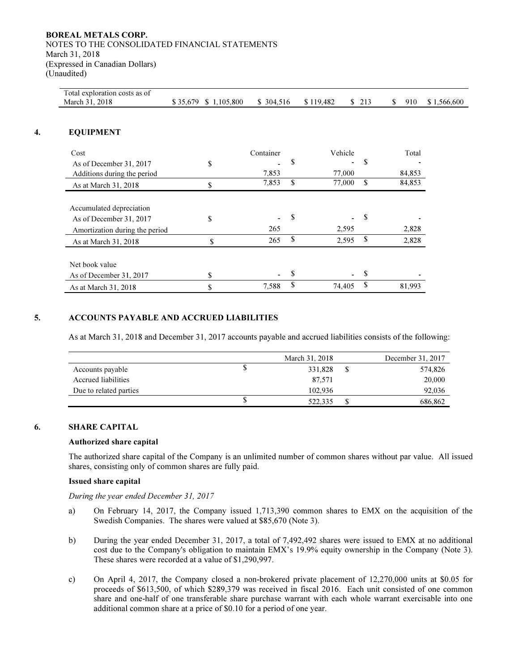| Total exploration costs as of<br>March 31, 2018                                       | \$35,679 \$1,105,800 | \$304,516 | \$119,482    | \$213 | 910<br>\$ |
|---------------------------------------------------------------------------------------|----------------------|-----------|--------------|-------|-----------|
| <b>EQUIPMENT</b>                                                                      |                      |           |              |       |           |
| Cost                                                                                  |                      | Container | Vehicle      |       | Total     |
| As of December 31, 2017                                                               | \$                   |           | \$           | \$    |           |
| Additions during the period                                                           |                      | 7,853     | 77,000       |       | 84,853    |
| As at March 31, 2018                                                                  | \$                   | 7,853     | \$<br>77,000 | \$    | 84,853    |
| Accumulated depreciation<br>As of December 31, 2017<br>Amortization during the period | \$                   | 265       | \$<br>2,595  | \$    | 2,828     |
| As at March 31, 2018                                                                  | \$                   | 265       | \$<br>2,595  | \$    | 2,828     |
| Net book value                                                                        |                      |           |              |       |           |
| As of December 31, 2017                                                               | \$                   |           | \$           | \$    |           |
| As at March 31, 2018                                                                  | \$                   | 7,588     | \$<br>74,405 | \$    | 81,993    |

## 5. ACCOUNTS PAYABLE AND ACCRUED LIABILITIES

As at March 31, 2018 and December 31, 2017 accounts payable and accrued liabilities consists of the following:

|                        | March 31, 2018 | December 31, 2017 |
|------------------------|----------------|-------------------|
| Accounts payable       | \$<br>331.828  | \$<br>574,826     |
| Accrued liabilities    | 87.571         | 20,000            |
| Due to related parties | 102.936        | 92,036            |
|                        | \$<br>522.335  | \$<br>686,862     |

#### 6. SHARE CAPITAL

#### Authorized share capital

The authorized share capital of the Company is an unlimited number of common shares without par value. All issued shares, consisting only of common shares are fully paid.

#### Issued share capital

During the year ended December 31, 2017

- a) On February 14, 2017, the Company issued 1,713,390 common shares to EMX on the acquisition of the Swedish Companies. The shares were valued at \$85,670 (Note 3).
- b) During the year ended December 31, 2017, a total of 7,492,492 shares were issued to EMX at no additional cost due to the Company's obligation to maintain EMX's 19.9% equity ownership in the Company (Note 3). These shares were recorded at a value of \$1,290,997.
- c) On April 4, 2017, the Company closed a non-brokered private placement of 12,270,000 units at \$0.05 for proceeds of \$613,500, of which \$289,379 was received in fiscal 2016. Each unit consisted of one common share and one-half of one transferable share purchase warrant with each whole warrant exercisable into one additional common share at a price of \$0.10 for a period of one year.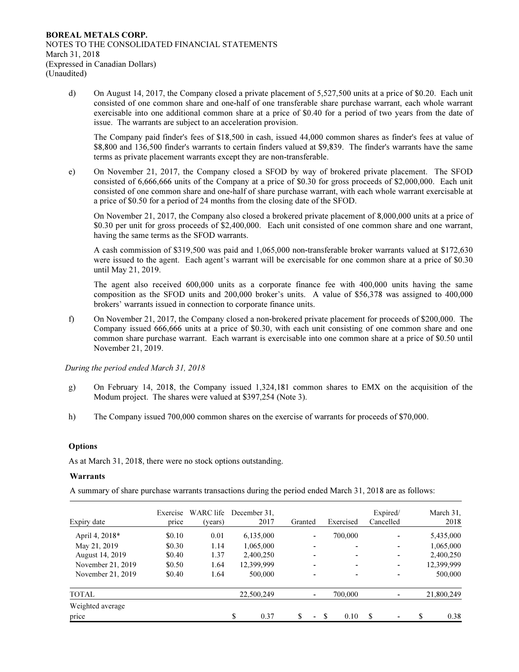d) On August 14, 2017, the Company closed a private placement of 5,527,500 units at a price of \$0.20. Each unit consisted of one common share and one-half of one transferable share purchase warrant, each whole warrant exercisable into one additional common share at a price of \$0.40 for a period of two years from the date of issue. The warrants are subject to an acceleration provision.

The Company paid finder's fees of \$18,500 in cash, issued 44,000 common shares as finder's fees at value of \$8,800 and 136,500 finder's warrants to certain finders valued at \$9,839. The finder's warrants have the same terms as private placement warrants except they are non-transferable.

e) On November 21, 2017, the Company closed a SFOD by way of brokered private placement. The SFOD consisted of 6,666,666 units of the Company at a price of \$0.30 for gross proceeds of \$2,000,000. Each unit consisted of one common share and one-half of share purchase warrant, with each whole warrant exercisable at a price of \$0.50 for a period of 24 months from the closing date of the SFOD.

On November 21, 2017, the Company also closed a brokered private placement of 8,000,000 units at a price of \$0.30 per unit for gross proceeds of \$2,400,000. Each unit consisted of one common share and one warrant, having the same terms as the SFOD warrants.

A cash commission of \$319,500 was paid and 1,065,000 non-transferable broker warrants valued at \$172,630 were issued to the agent. Each agent's warrant will be exercisable for one common share at a price of \$0.30 until May 21, 2019.

The agent also received 600,000 units as a corporate finance fee with 400,000 units having the same composition as the SFOD units and 200,000 broker's units. A value of \$56,378 was assigned to 400,000 brokers' warrants issued in connection to corporate finance units.

f) On November 21, 2017, the Company closed a non-brokered private placement for proceeds of \$200,000. The Company issued 666,666 units at a price of \$0.30, with each unit consisting of one common share and one common share purchase warrant. Each warrant is exercisable into one common share at a price of \$0.50 until November 21, 2019.

During the period ended March 31, 2018

- g) On February 14, 2018, the Company issued 1,324,181 common shares to EMX on the acquisition of the Modum project. The shares were valued at \$397,254 (Note 3).
- h) The Company issued 700,000 common shares on the exercise of warrants for proceeds of \$70,000.

#### **Options**

As at March 31, 2018, there were no stock options outstanding.

#### Warrants

A summary of share purchase warrants transactions during the period ended March 31, 2018 are as follows:

| Expiry date       | Exercise<br>price | WARC life<br>(years) | December 31.<br>2017 | Granted                        | Exercised   | Expired/<br>Cancelled         | March 31,<br>2018 |
|-------------------|-------------------|----------------------|----------------------|--------------------------------|-------------|-------------------------------|-------------------|
| April 4, 2018*    | \$0.10            | 0.01                 | 6,135,000            | $\overline{\phantom{0}}$       | 700.000     | ٠                             | 5,435,000         |
| May 21, 2019      | \$0.30            | 1.14                 | 1,065,000            | $\overline{\phantom{0}}$       | ٠           | ٠                             | 1,065,000         |
| August 14, 2019   | \$0.40            | 1.37                 | 2,400,250            | $\overline{\phantom{0}}$       | ۰           | ٠                             | 2,400,250         |
| November 21, 2019 | \$0.50            | 1.64                 | 12,399,999           | $\overline{\phantom{0}}$       | ۰           | ٠                             | 12,399,999        |
| November 21, 2019 | \$0.40            | 1.64                 | 500,000              | $\overline{\phantom{0}}$       | ٠           | ٠                             | 500,000           |
| TOTAL             |                   |                      | 22,500,249           | $\blacksquare$                 | 700,000     | ٠                             | 21,800,249        |
| Weighted average  |                   |                      |                      |                                |             |                               |                   |
| price             |                   |                      | 0.37                 | \$<br>$\overline{\phantom{a}}$ | 0.10<br>-\$ | S<br>$\overline{\phantom{0}}$ | 0.38              |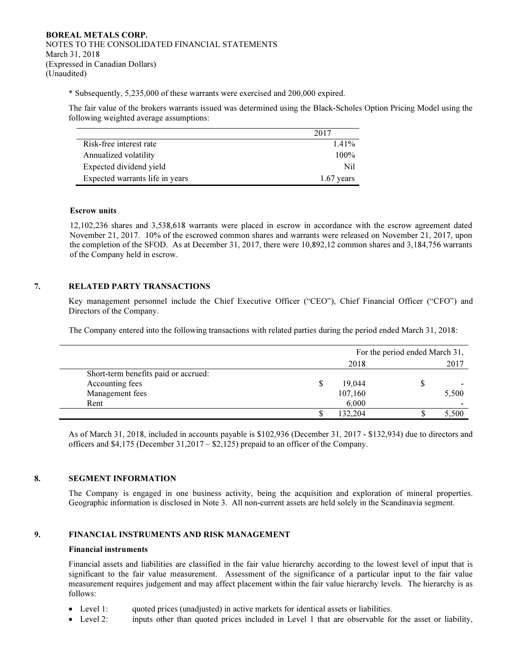\* Subsequently, 5,235,000 of these warrants were exercised and 200,000 expired.

The fair value of the brokers warrants issued was determined using the Black-Scholes Option Pricing Model using the following weighted average assumptions:

|                                 | 2017         |
|---------------------------------|--------------|
| Risk-free interest rate         | $1.41\%$     |
| Annualized volatility           | $100\%$      |
| Expected dividend yield         | Nil          |
| Expected warrants life in years | $1.67$ years |

#### Escrow units

12,102,236 shares and 3,538,618 warrants were placed in escrow in accordance with the escrow agreement dated November 21, 2017. 10% of the escrowed common shares and warrants were released on November 21, 2017, upon the completion of the SFOD. As at December 31, 2017, there were 10,892,12 common shares and 3,184,756 warrants of the Company held in escrow.

## 7. RELATED PARTY TRANSACTIONS

Key management personnel include the Chief Executive Officer ("CEO"), Chief Financial Officer ("CFO") and Directors of the Company.

The Company entered into the following transactions with related parties during the period ended March 31, 2018:

|                                      | For the period ended March 31, |         |    |       |
|--------------------------------------|--------------------------------|---------|----|-------|
|                                      |                                | 2018    |    | 2017  |
| Short-term benefits paid or accrued: |                                |         |    |       |
| Accounting fees                      | S.                             | 19.044  | \$ |       |
| Management fees                      |                                | 107,160 |    | 5,500 |
| Rent                                 |                                | 6,000   |    |       |
|                                      |                                | 132.204 |    | 5,500 |

As of March 31, 2018, included in accounts payable is \$102,936 (December 31, 2017 - \$132,934) due to directors and officers and \$4,175 (December 31,2017 – \$2,125) prepaid to an officer of the Company.

## 8. SEGMENT INFORMATION

The Company is engaged in one business activity, being the acquisition and exploration of mineral properties. Geographic information is disclosed in Note 3. All non-current assets are held solely in the Scandinavia segment.

#### 9. FINANCIAL INSTRUMENTS AND RISK MANAGEMENT

## Financial instruments

Financial assets and liabilities are classified in the fair value hierarchy according to the lowest level of input that is significant to the fair value measurement. Assessment of the significance of a particular input to the fair value measurement requires judgement and may affect placement within the fair value hierarchy levels. The hierarchy is as follows:

- Level 1: quoted prices (unadjusted) in active markets for identical assets or liabilities.
- Level 2: inputs other than quoted prices included in Level 1 that are observable for the asset or liability,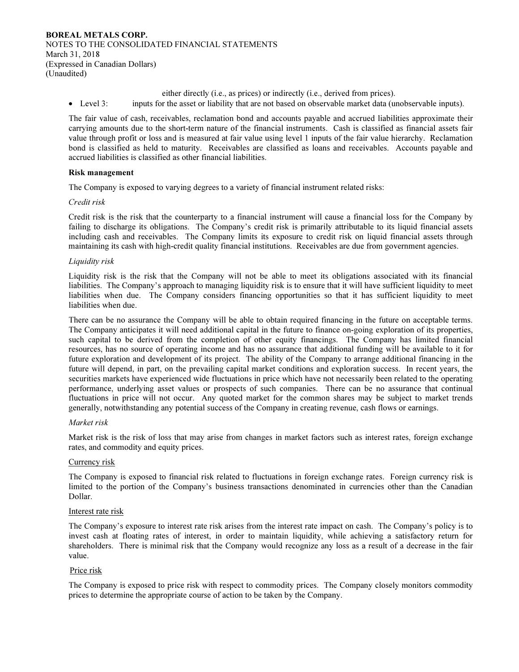either directly (i.e., as prices) or indirectly (i.e., derived from prices).

• Level 3: inputs for the asset or liability that are not based on observable market data (unobservable inputs).

The fair value of cash, receivables, reclamation bond and accounts payable and accrued liabilities approximate their carrying amounts due to the short-term nature of the financial instruments. Cash is classified as financial assets fair value through profit or loss and is measured at fair value using level 1 inputs of the fair value hierarchy. Reclamation bond is classified as held to maturity. Receivables are classified as loans and receivables. Accounts payable and accrued liabilities is classified as other financial liabilities.

#### Risk management

The Company is exposed to varying degrees to a variety of financial instrument related risks:

#### Credit risk

Credit risk is the risk that the counterparty to a financial instrument will cause a financial loss for the Company by failing to discharge its obligations. The Company's credit risk is primarily attributable to its liquid financial assets including cash and receivables. The Company limits its exposure to credit risk on liquid financial assets through maintaining its cash with high-credit quality financial institutions. Receivables are due from government agencies.

## Liquidity risk

Liquidity risk is the risk that the Company will not be able to meet its obligations associated with its financial liabilities. The Company's approach to managing liquidity risk is to ensure that it will have sufficient liquidity to meet liabilities when due. The Company considers financing opportunities so that it has sufficient liquidity to meet liabilities when due.

There can be no assurance the Company will be able to obtain required financing in the future on acceptable terms. The Company anticipates it will need additional capital in the future to finance on-going exploration of its properties, such capital to be derived from the completion of other equity financings. The Company has limited financial resources, has no source of operating income and has no assurance that additional funding will be available to it for future exploration and development of its project. The ability of the Company to arrange additional financing in the future will depend, in part, on the prevailing capital market conditions and exploration success. In recent years, the securities markets have experienced wide fluctuations in price which have not necessarily been related to the operating performance, underlying asset values or prospects of such companies. There can be no assurance that continual fluctuations in price will not occur. Any quoted market for the common shares may be subject to market trends generally, notwithstanding any potential success of the Company in creating revenue, cash flows or earnings.

#### Market risk

Market risk is the risk of loss that may arise from changes in market factors such as interest rates, foreign exchange rates, and commodity and equity prices.

#### Currency risk

The Company is exposed to financial risk related to fluctuations in foreign exchange rates. Foreign currency risk is limited to the portion of the Company's business transactions denominated in currencies other than the Canadian Dollar.

#### Interest rate risk

The Company's exposure to interest rate risk arises from the interest rate impact on cash. The Company's policy is to invest cash at floating rates of interest, in order to maintain liquidity, while achieving a satisfactory return for shareholders. There is minimal risk that the Company would recognize any loss as a result of a decrease in the fair value.

#### Price risk

The Company is exposed to price risk with respect to commodity prices. The Company closely monitors commodity prices to determine the appropriate course of action to be taken by the Company.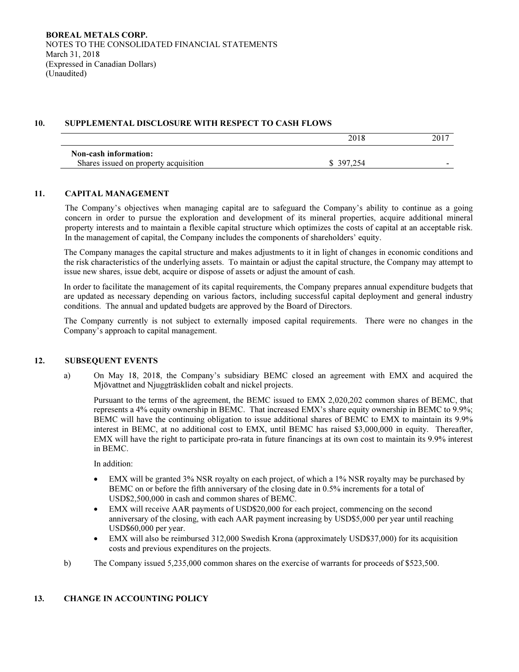## 10. SUPPLEMENTAL DISCLOSURE WITH RESPECT TO CASH FLOWS

|                                       | 2018       | 2017 |
|---------------------------------------|------------|------|
| Non-cash information:                 |            |      |
| Shares issued on property acquisition | \$ 397,254 | -    |

## 11. CAPITAL MANAGEMENT

The Company's objectives when managing capital are to safeguard the Company's ability to continue as a going concern in order to pursue the exploration and development of its mineral properties, acquire additional mineral property interests and to maintain a flexible capital structure which optimizes the costs of capital at an acceptable risk. In the management of capital, the Company includes the components of shareholders' equity.

The Company manages the capital structure and makes adjustments to it in light of changes in economic conditions and the risk characteristics of the underlying assets. To maintain or adjust the capital structure, the Company may attempt to issue new shares, issue debt, acquire or dispose of assets or adjust the amount of cash.

In order to facilitate the management of its capital requirements, the Company prepares annual expenditure budgets that are updated as necessary depending on various factors, including successful capital deployment and general industry conditions. The annual and updated budgets are approved by the Board of Directors.

The Company currently is not subject to externally imposed capital requirements. There were no changes in the Company's approach to capital management.

## 12. SUBSEQUENT EVENTS

a) On May 18, 2018, the Company's subsidiary BEMC closed an agreement with EMX and acquired the Mjövattnet and Njuggträskliden cobalt and nickel projects.

Pursuant to the terms of the agreement, the BEMC issued to EMX 2,020,202 common shares of BEMC, that represents a 4% equity ownership in BEMC. That increased EMX's share equity ownership in BEMC to 9.9%; BEMC will have the continuing obligation to issue additional shares of BEMC to EMX to maintain its 9.9% interest in BEMC, at no additional cost to EMX, until BEMC has raised \$3,000,000 in equity. Thereafter, EMX will have the right to participate pro-rata in future financings at its own cost to maintain its 9.9% interest in BEMC.

In addition:

- EMX will be granted 3% NSR royalty on each project, of which a 1% NSR royalty may be purchased by BEMC on or before the fifth anniversary of the closing date in 0.5% increments for a total of USD\$2,500,000 in cash and common shares of BEMC.
- EMX will receive AAR payments of USD\$20,000 for each project, commencing on the second anniversary of the closing, with each AAR payment increasing by USD\$5,000 per year until reaching USD\$60,000 per year.
- EMX will also be reimbursed 312,000 Swedish Krona (approximately USD\$37,000) for its acquisition costs and previous expenditures on the projects.
- b) The Company issued 5,235,000 common shares on the exercise of warrants for proceeds of \$523,500.

## 13. CHANGE IN ACCOUNTING POLICY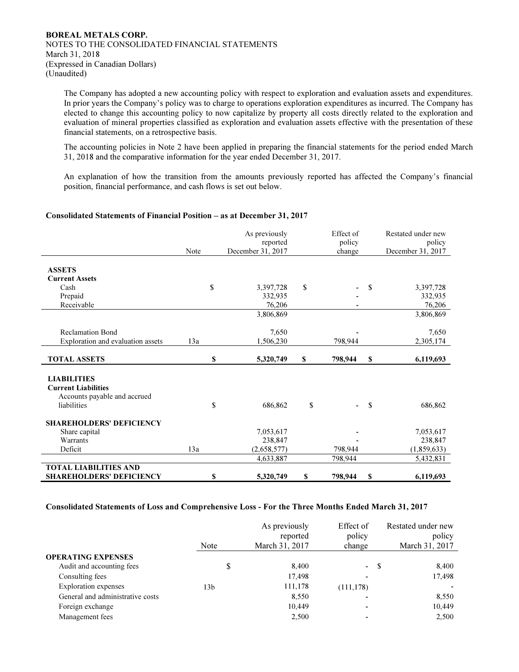The Company has adopted a new accounting policy with respect to exploration and evaluation assets and expenditures. In prior years the Company's policy was to charge to operations exploration expenditures as incurred. The Company has elected to change this accounting policy to now capitalize by property all costs directly related to the exploration and evaluation of mineral properties classified as exploration and evaluation assets effective with the presentation of these financial statements, on a retrospective basis.

The accounting policies in Note 2 have been applied in preparing the financial statements for the period ended March 31, 2018 and the comparative information for the year ended December 31, 2017.

An explanation of how the transition from the amounts previously reported has affected the Company's financial position, financial performance, and cash flows is set out below.

#### Consolidated Statements of Financial Position – as at December 31, 2017

|                                   | Note | As previously<br>reported<br>December 31, 2017 |             |    | Effect of<br>policy<br>change |    | Restated under new<br>policy<br>December 31, 2017 |
|-----------------------------------|------|------------------------------------------------|-------------|----|-------------------------------|----|---------------------------------------------------|
|                                   |      |                                                |             |    |                               |    |                                                   |
| <b>ASSETS</b>                     |      |                                                |             |    |                               |    |                                                   |
| <b>Current Assets</b>             |      |                                                |             |    |                               |    |                                                   |
| Cash                              |      | \$                                             | 3,397,728   | \$ |                               | \$ | 3,397,728                                         |
| Prepaid                           |      |                                                | 332,935     |    |                               |    | 332,935                                           |
| Receivable                        |      |                                                | 76,206      |    |                               |    | 76,206                                            |
|                                   |      |                                                | 3,806,869   |    |                               |    | 3,806,869                                         |
|                                   |      |                                                |             |    |                               |    |                                                   |
| <b>Reclamation Bond</b>           |      |                                                | 7,650       |    |                               |    | 7,650                                             |
| Exploration and evaluation assets | 13a  |                                                | 1,506,230   |    | 798,944                       |    | 2,305,174                                         |
|                                   |      |                                                |             |    |                               |    |                                                   |
| <b>TOTAL ASSETS</b>               |      | \$                                             | 5,320,749   | \$ | 798,944                       | \$ | 6,119,693                                         |
|                                   |      |                                                |             |    |                               |    |                                                   |
| <b>LIABILITIES</b>                |      |                                                |             |    |                               |    |                                                   |
| <b>Current Liabilities</b>        |      |                                                |             |    |                               |    |                                                   |
| Accounts payable and accrued      |      |                                                |             |    |                               |    |                                                   |
| liabilities                       |      | \$                                             | 686,862     | \$ | ٠                             | \$ | 686,862                                           |
| <b>SHAREHOLDERS' DEFICIENCY</b>   |      |                                                |             |    |                               |    |                                                   |
| Share capital                     |      |                                                | 7,053,617   |    |                               |    | 7,053,617                                         |
| Warrants                          |      |                                                | 238,847     |    |                               |    | 238,847                                           |
| Deficit                           | 13a  |                                                | (2,658,577) |    | 798.944                       |    | (1,859,633)                                       |
|                                   |      |                                                | 4,633,887   |    | 798,944                       |    | 5,432,831                                         |
| <b>TOTAL LIABILITIES AND</b>      |      |                                                |             |    |                               |    |                                                   |
| <b>SHAREHOLDERS' DEFICIENCY</b>   |      | \$                                             | 5,320,749   | \$ | 798,944                       | S  | 6,119,693                                         |

#### Consolidated Statements of Loss and Comprehensive Loss - For the Three Months Ended March 31, 2017

|                                  | Note | As previously<br>reported<br>March 31, 2017 | Effect of<br>policy<br>change | Restated under new<br>policy<br>March 31, 2017 |
|----------------------------------|------|---------------------------------------------|-------------------------------|------------------------------------------------|
| <b>OPERATING EXPENSES</b>        |      |                                             |                               |                                                |
| Audit and accounting fees        | \$   | 8,400                                       | $\sim$                        | <sup>\$</sup><br>8,400                         |
| Consulting fees                  |      | 17,498                                      | -                             | 17,498                                         |
| <b>Exploration</b> expenses      | 13b  | 111,178                                     | (111, 178)                    |                                                |
| General and administrative costs |      | 8,550                                       |                               | 8,550                                          |
| Foreign exchange                 |      | 10,449                                      | -                             | 10,449                                         |
| Management fees                  |      | 2,500                                       |                               | 2,500                                          |